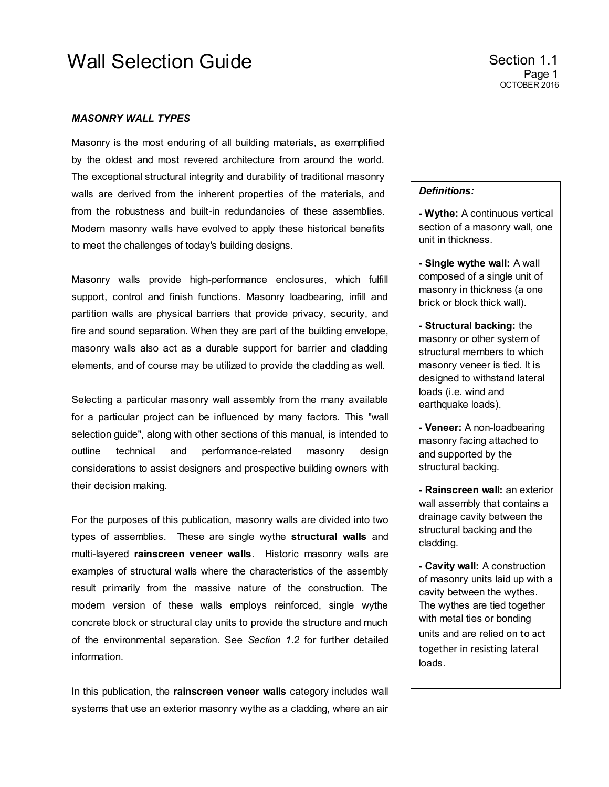## *MASONRY WALL TYPES*

Masonry is the most enduring of all building materials, as exemplified by the oldest and most revered architecture from around the world. The exceptional structural integrity and durability of traditional masonry walls are derived from the inherent properties of the materials, and from the robustness and built-in redundancies of these assemblies. Modern masonry walls have evolved to apply these historical benefits to meet the challenges of today's building designs.

Masonry walls provide high-performance enclosures, which fulfill support, control and finish functions. Masonry loadbearing, infill and partition walls are physical barriers that provide privacy, security, and fire and sound separation. When they are part of the building envelope, masonry walls also act as a durable support for barrier and cladding elements, and of course may be utilized to provide the cladding as well.

Selecting a particular masonry wall assembly from the many available for a particular project can be influenced by many factors. This "wall selection guide", along with other sections of this manual, is intended to outline technical and performance-related masonry design considerations to assist designers and prospective building owners with their decision making.

For the purposes of this publication, masonry walls are divided into two types of assemblies. These are single wythe **structural walls** and multi-layered **rainscreen veneer walls**. Historic masonry walls are examples of structural walls where the characteristics of the assembly result primarily from the massive nature of the construction. The modern version of these walls employs reinforced, single wythe concrete block or structural clay units to provide the structure and much of the environmental separation. See *Section 1.2* for further detailed information.

In this publication, the **rainscreen veneer walls** category includes wall systems that use an exterior masonry wythe as a cladding, where an air

## *Definitions:*

**- Wythe:** A continuous vertical section of a masonry wall, one unit in thickness.

**- Single wythe wall:** A wall composed of a single unit of masonry in thickness (a one brick or block thick wall).

**- Structural backing:** the masonry or other system of structural members to which masonry veneer is tied. It is designed to withstand lateral loads (i.e. wind and earthquake loads).

**- Veneer:** A non-loadbearing masonry facing attached to and supported by the structural backing.

**- Rainscreen wall:** an exterior wall assembly that contains a drainage cavity between the structural backing and the cladding.

**- Cavity wall:** A construction of masonry units laid up with a cavity between the wythes. The wythes are tied together with metal ties or bonding units and are relied on to act together in resisting lateral loads.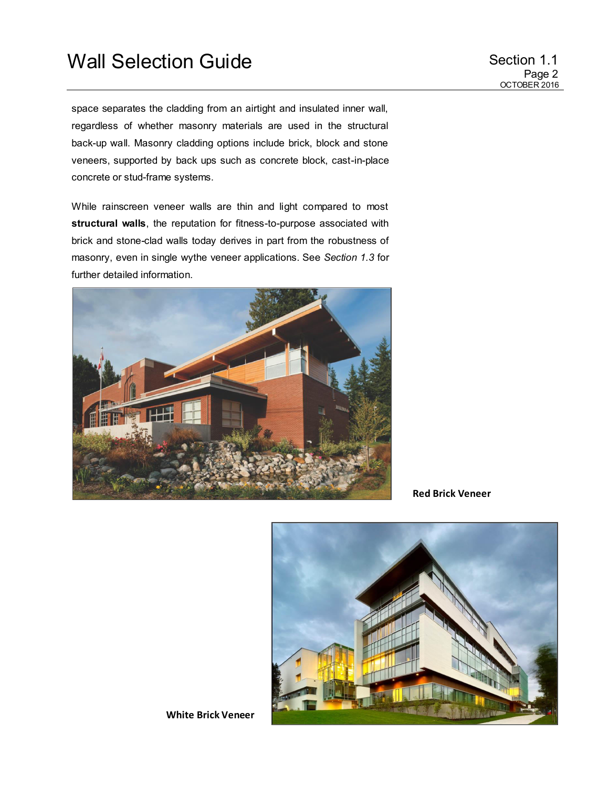space separates the cladding from an airtight and insulated inner wall, regardless of whether masonry materials are used in the structural back-up wall. Masonry cladding options include brick, block and stone veneers, supported by back ups such as concrete block, cast-in-place concrete or stud-frame systems.

While rainscreen veneer walls are thin and light compared to most **structural walls**, the reputation for fitness-to-purpose associated with brick and stone-clad walls today derives in part from the robustness of masonry, even in single wythe veneer applications. See *Section 1.3* for further detailed information.



**Red Brick Veneer**

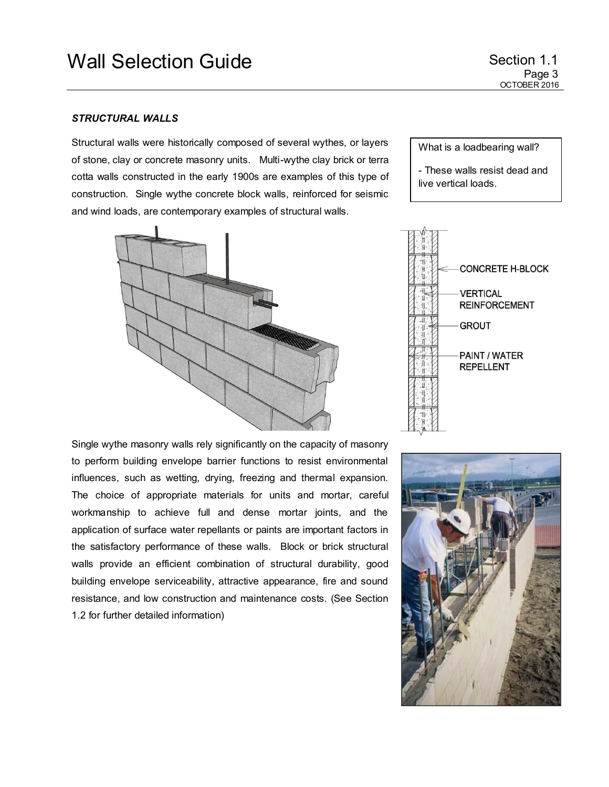Page 3 OCTOBER 2016

## *STRUCTURAL WALLS*

Structural walls were historically composed of several wythes, or layers of stone, clay or concrete masonry units. Multi-wythe clay brick or terra cotta walls constructed in the early 1900s are examples of this type of construction. Single wythe concrete block walls, reinforced for seismic and wind loads, are contemporary examples of structural walls.



Single wythe masonry walls rely significantly on the capacity of masonry to perform building envelope barrier functions to resist environmental influences, such as wetting, drying, freezing and thermal expansion. The choice of appropriate materials for units and mortar, careful workmanship to achieve full and dense mortar joints, and the application of surface water repellants or paints are important factors in the satisfactory performance of these walls. Block or brick structural walls provide an efficient combination of structural durability, good building envelope serviceability, attractive appearance, fire and sound resistance, and low construction and maintenance costs. (See Section 1.2 for further detailed information)

What is a loadbearing wall? - These walls resist dead and

live vertical loads.



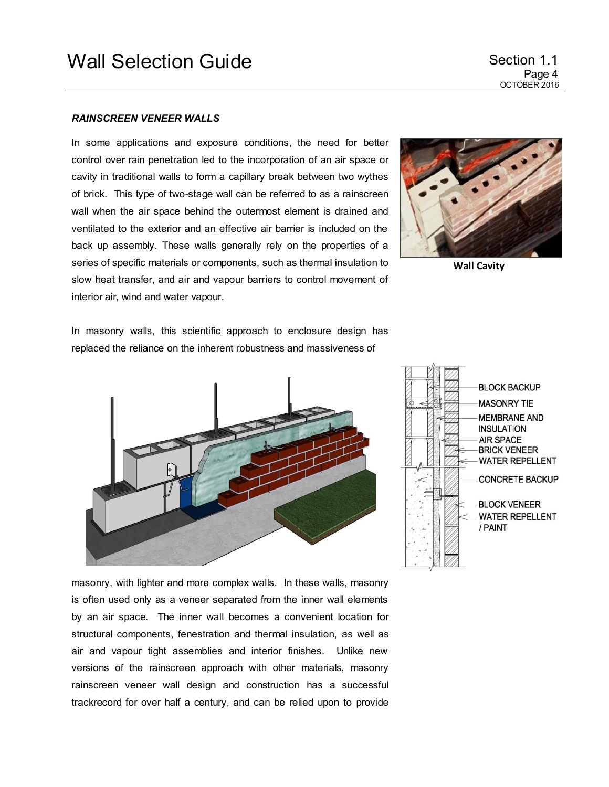## *RAINSCREEN VENEER WALLS*

In some applications and exposure conditions, the need for better control over rain penetration led to the incorporation of an air space or cavity in traditional walls to form a capillary break between two wythes of brick. This type of two-stage wall can be referred to as a rainscreen wall when the air space behind the outermost element is drained and ventilated to the exterior and an effective air barrier is included on the back up assembly. These walls generally rely on the properties of a series of specific materials or components, such as thermal insulation to slow heat transfer, and air and vapour barriers to control movement of interior air, wind and water vapour.



**Wall Cavity**

In masonry walls, this scientific approach to enclosure design has replaced the reliance on the inherent robustness and massiveness of





masonry, with lighter and more complex walls. In these walls, masonry is often used only as a veneer separated from the inner wall elements by an air space. The inner wall becomes a convenient location for structural components, fenestration and thermal insulation, as well as air and vapour tight assemblies and interior finishes. Unlike new versions of the rainscreen approach with other materials, masonry rainscreen veneer wall design and construction has a successful trackrecord for over half a century, and can be relied upon to provide